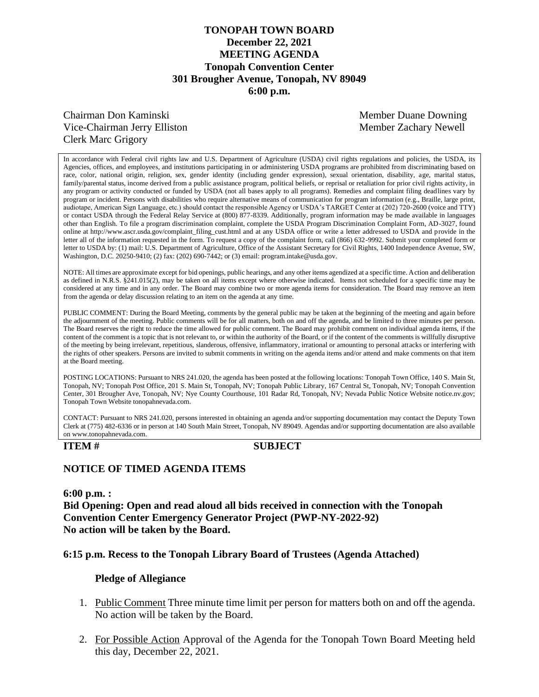# **TONOPAH TOWN BOARD December 22, 2021 MEETING AGENDA Tonopah Convention Center 301 Brougher Avenue, Tonopah, NV 89049 6:00 p.m.**

# Chairman Don Kaminski Member Duane Downing Vice-Chairman Jerry Elliston **Member 2 Member Zachary Newell** Clerk Marc Grigory

In accordance with Federal civil rights law and U.S. Department of Agriculture (USDA) civil rights regulations and policies, the USDA, its Agencies, offices, and employees, and institutions participating in or administering USDA programs are prohibited from discriminating based on race, color, national origin, religion, sex, gender identity (including gender expression), sexual orientation, disability, age, marital status, family/parental status, income derived from a public assistance program, political beliefs, or reprisal or retaliation for prior civil rights activity, in any program or activity conducted or funded by USDA (not all bases apply to all programs). Remedies and complaint filing deadlines vary by program or incident. Persons with disabilities who require alternative means of communication for program information (e.g., Braille, large print, audiotape, American Sign Language, etc.) should contact the responsible Agency or USDA's TARGET Center at (202) 720-2600 (voice and TTY) or contact USDA through the Federal Relay Service at (800) 877-8339. Additionally, program information may be made available in languages other than English. To file a program discrimination complaint, complete the USDA Program Discrimination Complaint Form, AD-3027, found online at http://www.ascr.usda.gov/complaint\_filing\_cust.html and at any USDA office or write a letter addressed to USDA and provide in the letter all of the information requested in the form. To request a copy of the complaint form, call (866) 632-9992. Submit your completed form or letter to USDA by: (1) mail: U.S. Department of Agriculture, Office of the Assistant Secretary for Civil Rights, 1400 Independence Avenue, SW, Washington, D.C. 20250-9410; (2) fax: (202) 690-7442; or (3) email: program.intake@usda.gov.

NOTE: All times are approximate except for bid openings, public hearings, and any other items agendized at a specific time. Action and deliberation as defined in N.R.S. §241.015(2), may be taken on all items except where otherwise indicated. Items not scheduled for a specific time may be considered at any time and in any order. The Board may combine two or more agenda items for consideration. The Board may remove an item from the agenda or delay discussion relating to an item on the agenda at any time.

PUBLIC COMMENT: During the Board Meeting, comments by the general public may be taken at the beginning of the meeting and again before the adjournment of the meeting. Public comments will be for all matters, both on and off the agenda, and be limited to three minutes per person. The Board reserves the right to reduce the time allowed for public comment. The Board may prohibit comment on individual agenda items, if the content of the comment is a topic that is not relevant to, or within the authority of the Board, or if the content of the comments is willfully disruptive of the meeting by being irrelevant, repetitious, slanderous, offensive, inflammatory, irrational or amounting to personal attacks or interfering with the rights of other speakers. Persons are invited to submit comments in writing on the agenda items and/or attend and make comments on that item at the Board meeting.

POSTING LOCATIONS: Pursuant to NRS 241.020, the agenda has been posted at the following locations: Tonopah Town Office, 140 S. Main St, Tonopah, NV; Tonopah Post Office, 201 S. Main St, Tonopah, NV; Tonopah Public Library, 167 Central St, Tonopah, NV; Tonopah Convention Center, 301 Brougher Ave, Tonopah, NV; Nye County Courthouse, 101 Radar Rd, Tonopah, NV; Nevada Public Notice Website notice.nv.gov; Tonopah Town Website tonopahnevada.com.

CONTACT: Pursuant to NRS 241.020, persons interested in obtaining an agenda and/or supporting documentation may contact the Deputy Town Clerk at (775) 482-6336 or in person at 140 South Main Street, Tonopah, NV 89049. Agendas and/or supporting documentation are also available on www.tonopahnevada.com.

**ITEM # SUBJECT**

# **NOTICE OF TIMED AGENDA ITEMS**

**6:00 p.m. :**

**Bid Opening: Open and read aloud all bids received in connection with the Tonopah Convention Center Emergency Generator Project (PWP-NY-2022-92) No action will be taken by the Board.** 

## **6:15 p.m. Recess to the Tonopah Library Board of Trustees (Agenda Attached)**

### **Pledge of Allegiance**

- 1. Public Comment Three minute time limit per person for matters both on and off the agenda. No action will be taken by the Board.
- 2. For Possible Action Approval of the Agenda for the Tonopah Town Board Meeting held this day, December 22, 2021.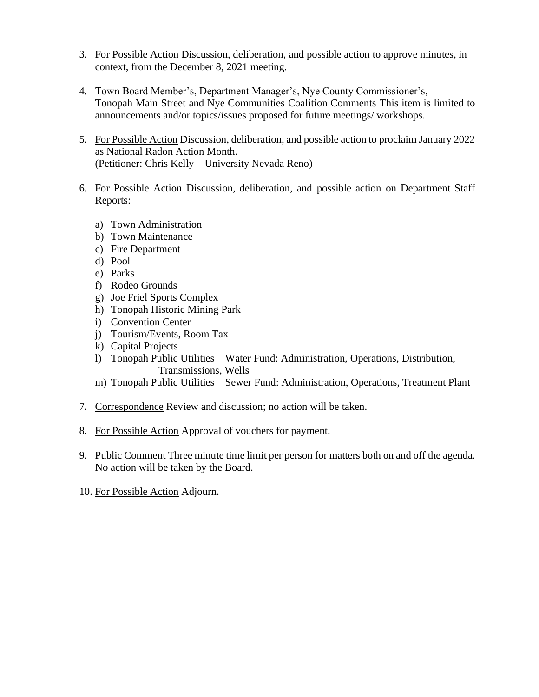- 3. For Possible Action Discussion, deliberation, and possible action to approve minutes, in context, from the December 8, 2021 meeting.
- 4. Town Board Member's, Department Manager's, Nye County Commissioner's, Tonopah Main Street and Nye Communities Coalition Comments This item is limited to announcements and/or topics/issues proposed for future meetings/ workshops.
- 5. For Possible Action Discussion, deliberation, and possible action to proclaim January 2022 as National Radon Action Month. (Petitioner: Chris Kelly – University Nevada Reno)
- 6. For Possible Action Discussion, deliberation, and possible action on Department Staff Reports:
	- a) Town Administration
	- b) Town Maintenance
	- c) Fire Department
	- d) Pool
	- e) Parks
	- f) Rodeo Grounds
	- g) Joe Friel Sports Complex
	- h) Tonopah Historic Mining Park
	- i) Convention Center
	- j) Tourism/Events, Room Tax
	- k) Capital Projects
	- l) Tonopah Public Utilities Water Fund: Administration, Operations, Distribution, Transmissions, Wells
	- m) Tonopah Public Utilities Sewer Fund: Administration, Operations, Treatment Plant
- 7. Correspondence Review and discussion; no action will be taken.
- 8. For Possible Action Approval of vouchers for payment.
- 9. Public Comment Three minute time limit per person for matters both on and off the agenda. No action will be taken by the Board.
- 10. For Possible Action Adjourn.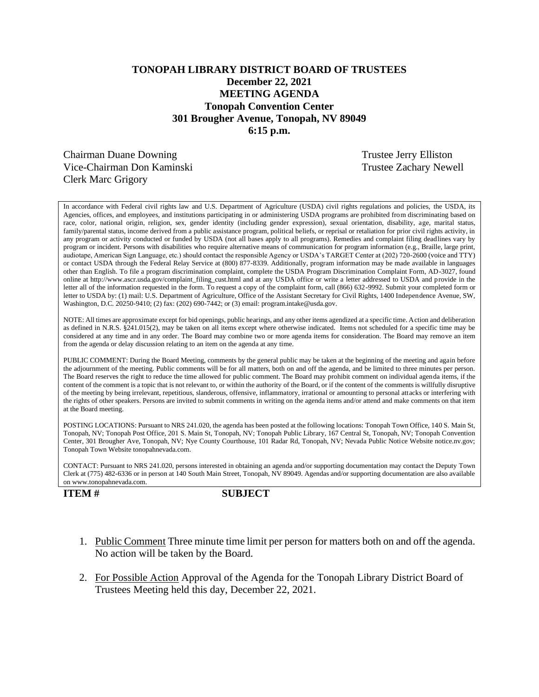# **TONOPAH LIBRARY DISTRICT BOARD OF TRUSTEES December 22, 2021 MEETING AGENDA Tonopah Convention Center 301 Brougher Avenue, Tonopah, NV 89049 6:15 p.m.**

Chairman Duane Downing Trustee Jerry Elliston Vice-Chairman Don Kaminski Trustee Zachary Newell Clerk Marc Grigory

In accordance with Federal civil rights law and U.S. Department of Agriculture (USDA) civil rights regulations and policies, the USDA, its Agencies, offices, and employees, and institutions participating in or administering USDA programs are prohibited from discriminating based on race, color, national origin, religion, sex, gender identity (including gender expression), sexual orientation, disability, age, marital status, family/parental status, income derived from a public assistance program, political beliefs, or reprisal or retaliation for prior civil rights activity, in any program or activity conducted or funded by USDA (not all bases apply to all programs). Remedies and complaint filing deadlines vary by program or incident. Persons with disabilities who require alternative means of communication for program information (e.g., Braille, large print, audiotape, American Sign Language, etc.) should contact the responsible Agency or USDA's TARGET Center at (202) 720-2600 (voice and TTY) or contact USDA through the Federal Relay Service at (800) 877-8339. Additionally, program information may be made available in languages other than English. To file a program discrimination complaint, complete the USDA Program Discrimination Complaint Form, AD-3027, found online at http://www.ascr.usda.gov/complaint\_filing\_cust.html and at any USDA office or write a letter addressed to USDA and provide in the letter all of the information requested in the form. To request a copy of the complaint form, call (866) 632-9992. Submit your completed form or letter to USDA by: (1) mail: U.S. Department of Agriculture, Office of the Assistant Secretary for Civil Rights, 1400 Independence Avenue, SW, Washington, D.C. 20250-9410; (2) fax: (202) 690-7442; or (3) email: program.intake@usda.gov.

NOTE: All times are approximate except for bid openings, public hearings, and any other items agendized at a specific time. Action and deliberation as defined in N.R.S. §241.015(2), may be taken on all items except where otherwise indicated. Items not scheduled for a specific time may be considered at any time and in any order. The Board may combine two or more agenda items for consideration. The Board may remove an item from the agenda or delay discussion relating to an item on the agenda at any time.

PUBLIC COMMENT: During the Board Meeting, comments by the general public may be taken at the beginning of the meeting and again before the adjournment of the meeting. Public comments will be for all matters, both on and off the agenda, and be limited to three minutes per person. The Board reserves the right to reduce the time allowed for public comment. The Board may prohibit comment on individual agenda items, if the content of the comment is a topic that is not relevant to, or within the authority of the Board, or if the content of the comments is willfully disruptive of the meeting by being irrelevant, repetitious, slanderous, offensive, inflammatory, irrational or amounting to personal attacks or interfering with the rights of other speakers. Persons are invited to submit comments in writing on the agenda items and/or attend and make comments on that item at the Board meeting.

POSTING LOCATIONS: Pursuant to NRS 241.020, the agenda has been posted at the following locations: Tonopah Town Office, 140 S. Main St, Tonopah, NV; Tonopah Post Office, 201 S. Main St, Tonopah, NV; Tonopah Public Library, 167 Central St, Tonopah, NV; Tonopah Convention Center, 301 Brougher Ave, Tonopah, NV; Nye County Courthouse, 101 Radar Rd, Tonopah, NV; Nevada Public Notice Website notice.nv.gov; Tonopah Town Website tonopahnevada.com.

CONTACT: Pursuant to NRS 241.020, persons interested in obtaining an agenda and/or supporting documentation may contact the Deputy Town Clerk at (775) 482-6336 or in person at 140 South Main Street, Tonopah, NV 89049. Agendas and/or supporting documentation are also available on www.tonopahnevada.com.

**ITEM # SUBJECT**

- 1. Public Comment Three minute time limit per person for matters both on and off the agenda. No action will be taken by the Board.
- 2. For Possible Action Approval of the Agenda for the Tonopah Library District Board of Trustees Meeting held this day, December 22, 2021.